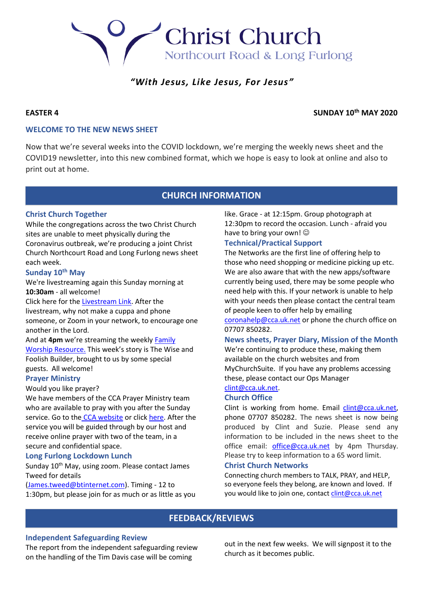# Christ Church Northcourt Road & Long Furlong

# *"With Jesus, Like Jesus, For Jesus"*

# **EASTER 4** SUNDAY 10<sup>th</sup> MAY 2020

# **WELCOME TO THE NEW NEWS SHEET**

Now that we're several weeks into the COVID lockdown, we're merging the weekly news sheet and the COVID19 newsletter, into this new combined format, which we hope is easy to look at online and also to print out at home.

# **CHURCH INFORMATION**

# **Christ Church Together**

While the congregations across the two Christ Church sites are unable to meet physically during the Coronavirus outbreak, we're producing a joint Christ Church Northcourt Road and Long Furlong news sheet each week.

# **Sunday 10th May**

We're livestreaming again this Sunday morning at **10:30am** - all welcome!

Click here for the [Livestream Link.](https://youtu.be/1yDobMN9v5g) After the livestream, why not make a cuppa and phone someone, or Zoom in your network, to encourage one another in the Lord.

And at **4pm** we're streaming the weekly [Family](https://youtu.be/FMvHdRWUkrk)  [Worship Resource.](https://youtu.be/FMvHdRWUkrk) This week's story is The Wise and Foolish Builder, brought to us by some special guests. All welcome!

# **Prayer Ministry**

Would you like prayer?

We have members of the CCA Prayer Ministry team who are available to pray with you after the Sunday service. Go to the [CCA website](https://cca.uk.net/sunday/) or click [here.](https://zoom.us/meeting/register/tJAkcu6vqTosHtWRZPsVVT4IT7ocgVpNOfhM) After the service you will be guided through by our host and receive online prayer with two of the team, in a secure and confidential space.

# **Long Furlong Lockdown Lunch**

Sunday 10<sup>th</sup> May, using zoom. Please contact James Tweed for details

[\(James.tweed@btinternet.com\)](file:///C:/Users/Suzie/Downloads/James.tweed@btinternet.com). Timing - 12 to 1:30pm, but please join for as much or as little as you like. Grace - at 12:15pm. Group photograph at 12:30pm to record the occasion. Lunch - afraid you have to bring your own!  $\odot$ 

# **Technical/Practical Support**

The Networks are the first line of offering help to those who need shopping or medicine picking up etc. We are also aware that with the new apps/software currently being used, there may be some people who need help with this. If your network is unable to help with your needs then please contact the central team of people keen to offer help by emailing [coronahelp@cca.uk.net](file:///C:/Users/Suzie/Downloads/coronahelp@cca.uk.net) or phone the church office on

07707 850282.

# **News sheets, Prayer Diary, Mission of the Month**

We're continuing to produce these, making them available on the church websites and from MyChurchSuite. If you have any problems accessing these, please contact our Ops Manager

# [clint@cca.uk.net.](file:///C:/Users/Suzie/Downloads/clint@cca.uk.net)

# **Church Office**

Clint is working from home. Email [clint@cca.uk.net,](file:///C:/Users/Suzie/Downloads/clint@cca.uk.net) phone 07707 850282. The news sheet is now being produced by Clint and Suzie. Please send any information to be included in the news sheet to the office email: [office@cca.uk.net](file:///C:/Users/Suzie/Downloads/office@cca.uk.net) by 4pm Thursday. Please try to keep information to a 65 word limit.

### **Christ Church Networks**

Connecting church members to TALK, PRAY, and HELP, so everyone feels they belong, are known and loved. If you would like to join one, contact clint@cca.uk.net

# **FEEDBACK/REVIEWS**

# **Independent Safeguarding Review**

The report from the independent safeguarding review on the handling of the Tim Davis case will be coming

out in the next few weeks. We will signpost it to the church as it becomes public.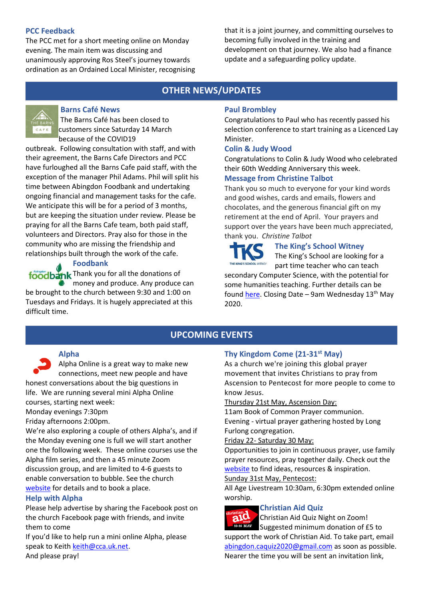# **PCC Feedback**

The PCC met for a short meeting online on Monday evening. The main item was discussing and unanimously approving Ros Steel's journey towards ordination as an Ordained Local Minister, recognising that it is a joint journey, and committing ourselves to becoming fully involved in the training and development on that journey. We also had a finance update and a safeguarding policy update.

# **OTHER NEWS/UPDATES**



# **Barns Café News**

The Barns Café has been closed to customers since Saturday 14 March because of the COVID19

outbreak. Following consultation with staff, and with their agreement, the Barns Cafe Directors and PCC have furloughed all the Barns Cafe paid staff, with the exception of the manager Phil Adams. Phil will split his time between Abingdon Foodbank and undertaking ongoing financial and management tasks for the cafe. We anticipate this will be for a period of 3 months, but are keeping the situation under review. Please be praying for all the Barns Cafe team, both paid staff, volunteers and Directors. Pray also for those in the community who are missing the friendship and relationships built through the work of the cafe.



# **Foodbank**

foodbank Thank you for all the donations of money and produce. Any produce can

be brought to the church between 9:30 and 1:00 on Tuesdays and Fridays. It is hugely appreciated at this difficult time.

# **Paul Brombley**

Congratulations to Paul who has recently passed his selection conference to start training as a Licenced Lay Minister.

# **Colin & Judy Wood**

Congratulations to Colin & Judy Wood who celebrated their 60th Wedding Anniversary this week.

# **Message from Christine Talbot**

Thank you so much to everyone for your kind words and good wishes, cards and emails, flowers and chocolates, and the generous financial gift on my retirement at the end of April. Your prayers and support over the years have been much appreciated, thank you. *Christine Talbot*

# **The King's School Witney**

The King's School are looking for a part time teacher who can teach

secondary Computer Science, with the potential for some humanities teaching. Further details can be found [here.](https://cdn.filestackcontent.com/D7T4Z4jyTHCbsflzU9y9) Closing Date – 9am Wednesday 13<sup>th</sup> May 2020.

# **UPCOMING EVENTS**

# **Alpha**

Alpha Online is a great way to make new connections, meet new people and have honest conversations about the big questions in life. We are running several mini Alpha Online courses, starting next week:

# Monday evenings 7:30pm

# Friday afternoons 2:00pm.

We're also exploring a couple of others Alpha's, and if the Monday evening one is full we will start another one the following week. These online courses use the Alpha film series, and then a 45 minute Zoom discussion group, and are limited to 4-6 guests to enable conversation to bubble. See the church [website](http://www.cca.uk.net/explore-faith/) for details and to book a place.

# **Help with Alpha**

Please help advertise by sharing the Facebook post on the church Facebook page with friends, and invite them to come

If you'd like to help run a mini online Alpha, please speak to Keith [keith@cca.uk.net.](file:///C:/Users/Suzie/AppData/Roaming/Microsoft/Word/keith@cca.uk.net) And please pray!

# **Thy Kingdom Come (21-31st May)**

As a church we're joining this global prayer movement that invites Christians to pray from Ascension to Pentecost for more people to come to know Jesus.

# Thursday 21st May, Ascension Day:

11am Book of Common Prayer communion. Evening - virtual prayer gathering hosted by Long Furlong congregation.

# Friday 22- Saturday 30 May:

Opportunities to join in continuous prayer, use family prayer resources, pray together daily. Check out the [website](http://www.thykingdomcome.global/) to find ideas, resources & inspiration.

# Sunday 31st May, Pentecost:

All Age Livestream 10:30am, 6:30pm extended online worship.

# **Christian Aid Quiz**

ristian<sub>d</sub>

Christian Aid Quiz Night on Zoom! 10-16 MAY Suggested minimum donation of £5 to

support the work of Christian Aid. To take part, email [abingdon.caquiz2020@gmail.com](file:///C:/Users/Suzie/AppData/Roaming/Microsoft/Word/abingdon.caquiz2020@gmail.com) as soon as possible. Nearer the time you will be sent an invitation link,